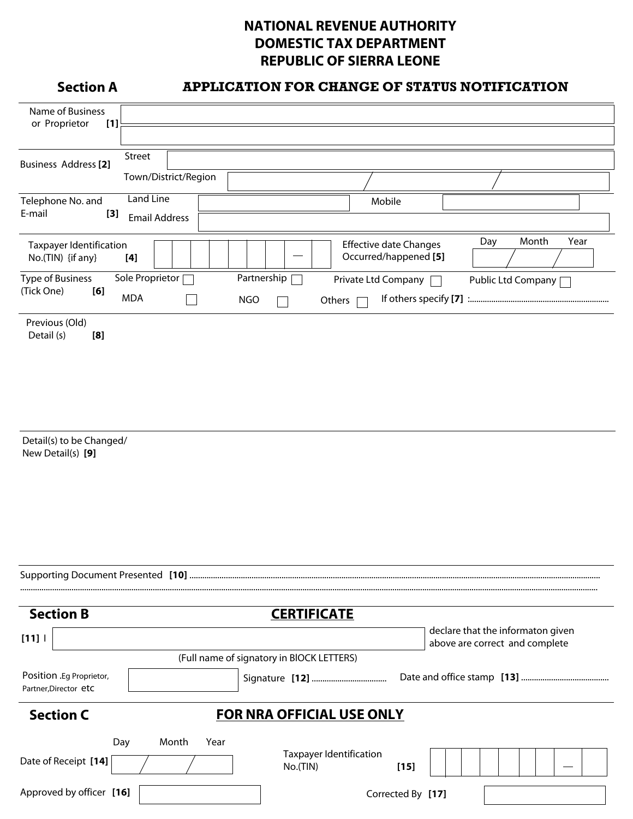## **NATIONAL REVENUE AUTHORITY DOMESTIC TAX DEPARTMENT REPUBLIC OF SIERRA LEONE**

## **Section A APPLICATION FOR CHANGE OF STATUS NOTIFICATION**

| Name of Business<br>or Proprietor<br>$[1]$          |                      |             |                                                        |                      |
|-----------------------------------------------------|----------------------|-------------|--------------------------------------------------------|----------------------|
|                                                     |                      |             |                                                        |                      |
| <b>Business Address</b> [2]                         | Street               |             |                                                        |                      |
|                                                     | Town/District/Region |             |                                                        |                      |
| Telephone No. and                                   | Land Line            |             | Mobile                                                 |                      |
| E-mail<br>[3]                                       | <b>Email Address</b> |             |                                                        |                      |
| <b>Taxpayer Identification</b><br>No.(TIN) {if any} | [4]                  |             | <b>Effective date Changes</b><br>Occurred/happened [5] | Day<br>Month<br>Year |
| Type of Business                                    | Sole Proprietor      | Partnership | Private Ltd Company                                    | Public Ltd Company   |
| (Tick One)<br>[6]                                   | <b>MDA</b>           | <b>NGO</b>  | Others                                                 |                      |
| Previous (Old)<br>Detail (s)<br>[8]                 |                      |             |                                                        |                      |

Detail(s) to be Changed/ New Detail(s) **[9]**

| <b>Section B</b>                                  |       |      |  | <b>CERTIFICATE</b>                         |                   |                                                                     |  |
|---------------------------------------------------|-------|------|--|--------------------------------------------|-------------------|---------------------------------------------------------------------|--|
| [11]                                              |       |      |  |                                            |                   | declare that the informaton given<br>above are correct and complete |  |
|                                                   |       |      |  | (Full name of signatory in BIOCK LETTERS)  |                   |                                                                     |  |
| Position .Eg Proprietor,<br>Partner, Director etc |       |      |  |                                            |                   |                                                                     |  |
| <b>Section C</b>                                  |       |      |  | <b>FOR NRA OFFICIAL USE ONLY</b>           |                   |                                                                     |  |
| Day                                               | Month | Year |  |                                            |                   |                                                                     |  |
| Date of Receipt [14]                              |       |      |  | <b>Taxpayer Identification</b><br>No.(TIN) | $[15]$            |                                                                     |  |
| Approved by officer [16]                          |       |      |  |                                            | Corrected By [17] |                                                                     |  |